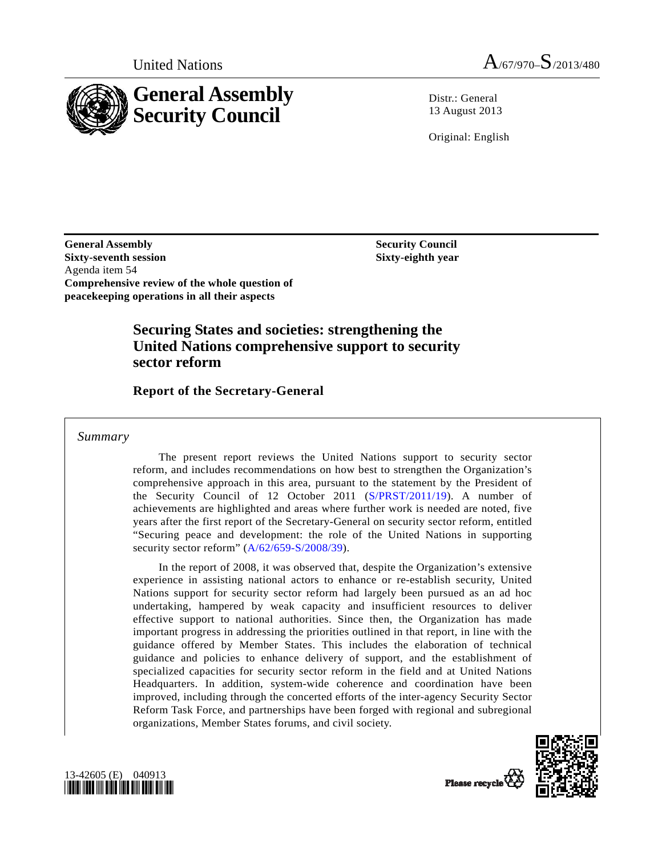

United Nations  $A_{/67/970} - S_{/2013/480}$ 

 $Distr: General$ 13 August 2013

Original: English

**General Assembly Sixty-seventh session**  Agenda item 54 **Comprehensive review of the whole question of peacekeeping operations in all their aspects** 

 **Security Council Sixty-eighth year** 

## **Securing States and societies: strengthening the United Nations comprehensive support to security sector reform**

 **Report of the Secretary-General** 

### *Summary*

 The present report reviews the United Nations support to security sector reform, and includes recommendations on how best to strengthen the Organization's comprehensive approach in this area, pursuant to the statement by the President of the Security Council of 12 October 2011 [\(S/PRST/2011/19](http://undocs.org/S/PRST/2011/19)). A number of achievements are highlighted and areas where further work is needed are noted, five years after the first report of the Secretary-General on security sector reform, entitled "Securing peace and development: the role of the United Nations in supporting security sector reform" ([A/62/659-S/2008/39](http://undocs.org/A/62/659)).

 In the report of 2008, it was observed that, despite the Organization's extensive experience in assisting national actors to enhance or re-establish security, United Nations support for security sector reform had largely been pursued as an ad hoc undertaking, hampered by weak capacity and insufficient resources to deliver effective support to national authorities. Since then, the Organization has made important progress in addressing the priorities outlined in that report, in line with the guidance offered by Member States. This includes the elaboration of technical guidance and policies to enhance delivery of support, and the establishment of specialized capacities for security sector reform in the field and at United Nations Headquarters. In addition, system-wide coherence and coordination have been improved, including through the concerted efforts of the inter-agency Security Sector Reform Task Force, and partnerships have been forged with regional and subregional organizations, Member States forums, and civil society.



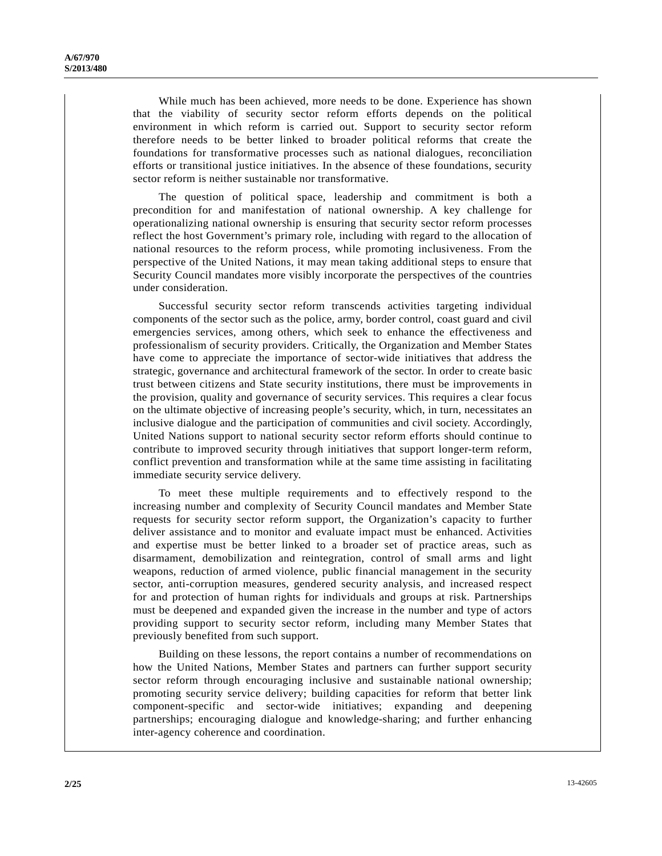While much has been achieved, more needs to be done. Experience has shown that the viability of security sector reform efforts depends on the political environment in which reform is carried out. Support to security sector reform therefore needs to be better linked to broader political reforms that create the foundations for transformative processes such as national dialogues, reconciliation efforts or transitional justice initiatives. In the absence of these foundations, security sector reform is neither sustainable nor transformative.

 The question of political space, leadership and commitment is both a precondition for and manifestation of national ownership. A key challenge for operationalizing national ownership is ensuring that security sector reform processes reflect the host Government's primary role, including with regard to the allocation of national resources to the reform process, while promoting inclusiveness. From the perspective of the United Nations, it may mean taking additional steps to ensure that Security Council mandates more visibly incorporate the perspectives of the countries under consideration.

 Successful security sector reform transcends activities targeting individual components of the sector such as the police, army, border control, coast guard and civil emergencies services, among others, which seek to enhance the effectiveness and professionalism of security providers. Critically, the Organization and Member States have come to appreciate the importance of sector-wide initiatives that address the strategic, governance and architectural framework of the sector. In order to create basic trust between citizens and State security institutions, there must be improvements in the provision, quality and governance of security services. This requires a clear focus on the ultimate objective of increasing people's security, which, in turn, necessitates an inclusive dialogue and the participation of communities and civil society. Accordingly, United Nations support to national security sector reform efforts should continue to contribute to improved security through initiatives that support longer-term reform, conflict prevention and transformation while at the same time assisting in facilitating immediate security service delivery.

 To meet these multiple requirements and to effectively respond to the increasing number and complexity of Security Council mandates and Member State requests for security sector reform support, the Organization's capacity to further deliver assistance and to monitor and evaluate impact must be enhanced. Activities and expertise must be better linked to a broader set of practice areas, such as disarmament, demobilization and reintegration, control of small arms and light weapons, reduction of armed violence, public financial management in the security sector, anti-corruption measures, gendered security analysis, and increased respect for and protection of human rights for individuals and groups at risk. Partnerships must be deepened and expanded given the increase in the number and type of actors providing support to security sector reform, including many Member States that previously benefited from such support.

 Building on these lessons, the report contains a number of recommendations on how the United Nations, Member States and partners can further support security sector reform through encouraging inclusive and sustainable national ownership; promoting security service delivery; building capacities for reform that better link component-specific and sector-wide initiatives; expanding and deepening partnerships; encouraging dialogue and knowledge-sharing; and further enhancing inter-agency coherence and coordination.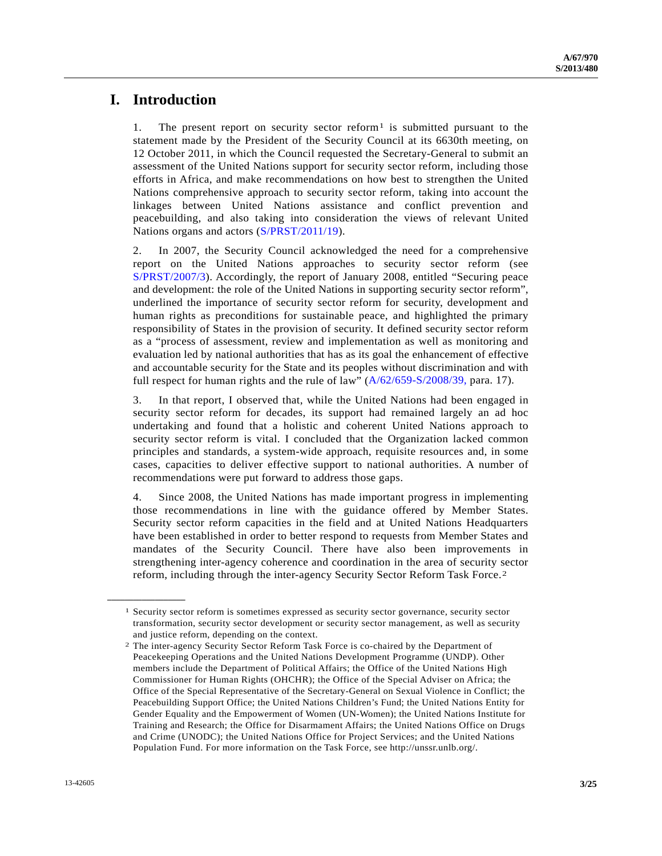## **I. Introduction**

[1](#page-2-0). The present report on security sector reform<sup>1</sup> is submitted pursuant to the statement made by the President of the Security Council at its 6630th meeting, on 12 October 2011, in which the Council requested the Secretary-General to submit an assessment of the United Nations support for security sector reform, including those efforts in Africa, and make recommendations on how best to strengthen the United Nations comprehensive approach to security sector reform, taking into account the linkages between United Nations assistance and conflict prevention and peacebuilding, and also taking into consideration the views of relevant United Nations organs and actors ([S/PRST/2011/19](http://undocs.org/S/PRST/2011/19)).

2. In 2007, the Security Council acknowledged the need for a comprehensive report on the United Nations approaches to security sector reform (see [S/PRST/2007/3](http://undocs.org/S/PRST/2007/3)). Accordingly, the report of January 2008, entitled "Securing peace and development: the role of the United Nations in supporting security sector reform", underlined the importance of security sector reform for security, development and human rights as preconditions for sustainable peace, and highlighted the primary responsibility of States in the provision of security. It defined security sector reform as a "process of assessment, review and implementation as well as monitoring and evaluation led by national authorities that has as its goal the enhancement of effective and accountable security for the State and its peoples without discrimination and with full respect for human rights and the rule of law" ( $A/62/659-S/2008/39$ , para. 17).

3. In that report, I observed that, while the United Nations had been engaged in security sector reform for decades, its support had remained largely an ad hoc undertaking and found that a holistic and coherent United Nations approach to security sector reform is vital. I concluded that the Organization lacked common principles and standards, a system-wide approach, requisite resources and, in some cases, capacities to deliver effective support to national authorities. A number of recommendations were put forward to address those gaps.

4. Since 2008, the United Nations has made important progress in implementing those recommendations in line with the guidance offered by Member States. Security sector reform capacities in the field and at United Nations Headquarters have been established in order to better respond to requests from Member States and mandates of the Security Council. There have also been improvements in strengthening inter-agency coherence and coordination in the area of security sector reform, including through the inter-agency Security Sector Reform Task Force.[2](#page-2-1) 

<span id="page-2-0"></span><sup>1</sup> Security sector reform is sometimes expressed as security sector governance, security sector transformation, security sector development or security sector management, as well as security and justice reform, depending on the context.

<span id="page-2-1"></span><sup>2</sup> The inter-agency Security Sector Reform Task Force is co-chaired by the Department of Peacekeeping Operations and the United Nations Development Programme (UNDP). Other members include the Department of Political Affairs; the Office of the United Nations High Commissioner for Human Rights (OHCHR); the Office of the Special Adviser on Africa; the Office of the Special Representative of the Secretary-General on Sexual Violence in Conflict; the Peacebuilding Support Office; the United Nations Children's Fund; the United Nations Entity for Gender Equality and the Empowerment of Women (UN-Women); the United Nations Institute for Training and Research; the Office for Disarmament Affairs; the United Nations Office on Drugs and Crime (UNODC); the United Nations Office for Project Services; and the United Nations Population Fund. For more information on the Task Force, see http://unssr.unlb.org/.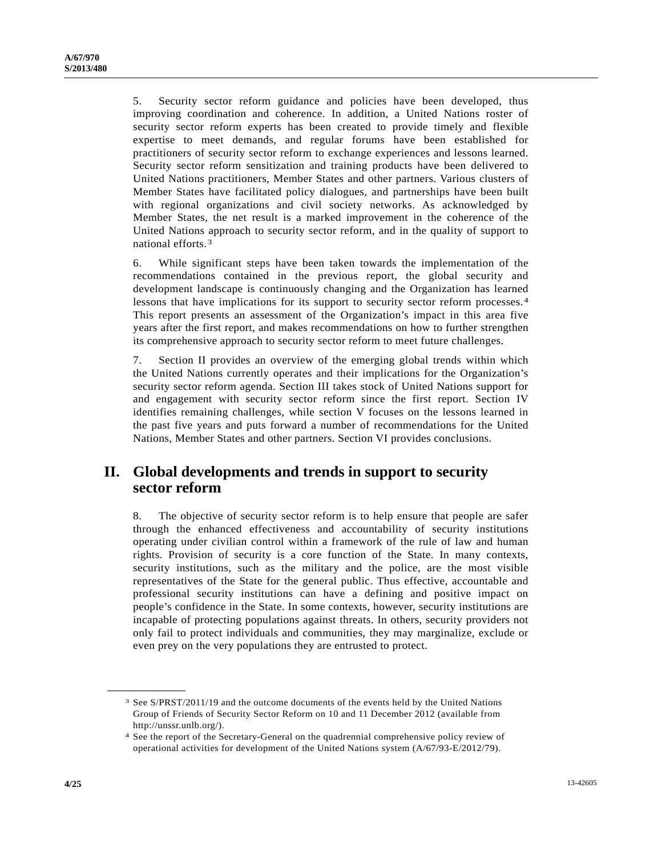5. Security sector reform guidance and policies have been developed, thus improving coordination and coherence. In addition, a United Nations roster of security sector reform experts has been created to provide timely and flexible expertise to meet demands, and regular forums have been established for practitioners of security sector reform to exchange experiences and lessons learned. Security sector reform sensitization and training products have been delivered to United Nations practitioners, Member States and other partners. Various clusters of Member States have facilitated policy dialogues, and partnerships have been built with regional organizations and civil society networks. As acknowledged by Member States, the net result is a marked improvement in the coherence of the United Nations approach to security sector reform, and in the quality of support to national efforts.[3](#page-3-0)

6. While significant steps have been taken towards the implementation of the recommendations contained in the previous report, the global security and development landscape is continuously changing and the Organization has learned lessons that have implications for its support to security sector reform processes.[4](#page-3-1) This report presents an assessment of the Organization's impact in this area five years after the first report, and makes recommendations on how to further strengthen its comprehensive approach to security sector reform to meet future challenges.

7. Section II provides an overview of the emerging global trends within which the United Nations currently operates and their implications for the Organization's security sector reform agenda. Section III takes stock of United Nations support for and engagement with security sector reform since the first report. Section IV identifies remaining challenges, while section V focuses on the lessons learned in the past five years and puts forward a number of recommendations for the United Nations, Member States and other partners. Section VI provides conclusions.

## **II. Global developments and trends in support to security sector reform**

8. The objective of security sector reform is to help ensure that people are safer through the enhanced effectiveness and accountability of security institutions operating under civilian control within a framework of the rule of law and human rights. Provision of security is a core function of the State. In many contexts, security institutions, such as the military and the police, are the most visible representatives of the State for the general public. Thus effective, accountable and professional security institutions can have a defining and positive impact on people's confidence in the State. In some contexts, however, security institutions are incapable of protecting populations against threats. In others, security providers not only fail to protect individuals and communities, they may marginalize, exclude or even prey on the very populations they are entrusted to protect.

<span id="page-3-0"></span><sup>3</sup> See S/PRST/2011/19 and the outcome documents of the events held by the United Nations Group of Friends of Security Sector Reform on 10 and 11 December 2012 (available from http://unssr.unlb.org/).

<span id="page-3-1"></span><sup>4</sup> See the report of the Secretary-General on the quadrennial comprehensive policy review of operational activities for development of the United Nations system (A/67/93-E/2012/79).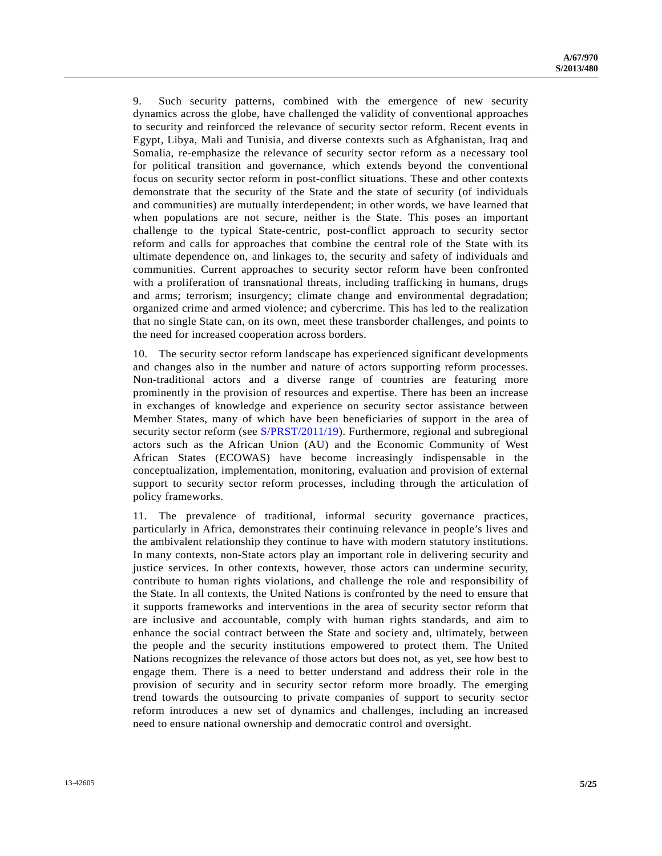9. Such security patterns, combined with the emergence of new security dynamics across the globe, have challenged the validity of conventional approaches to security and reinforced the relevance of security sector reform. Recent events in Egypt, Libya, Mali and Tunisia, and diverse contexts such as Afghanistan, Iraq and Somalia, re-emphasize the relevance of security sector reform as a necessary tool for political transition and governance, which extends beyond the conventional focus on security sector reform in post-conflict situations. These and other contexts demonstrate that the security of the State and the state of security (of individuals and communities) are mutually interdependent; in other words, we have learned that when populations are not secure, neither is the State. This poses an important challenge to the typical State-centric, post-conflict approach to security sector reform and calls for approaches that combine the central role of the State with its ultimate dependence on, and linkages to, the security and safety of individuals and communities. Current approaches to security sector reform have been confronted with a proliferation of transnational threats, including trafficking in humans, drugs and arms; terrorism; insurgency; climate change and environmental degradation; organized crime and armed violence; and cybercrime. This has led to the realization that no single State can, on its own, meet these transborder challenges, and points to the need for increased cooperation across borders.

10. The security sector reform landscape has experienced significant developments and changes also in the number and nature of actors supporting reform processes. Non-traditional actors and a diverse range of countries are featuring more prominently in the provision of resources and expertise. There has been an increase in exchanges of knowledge and experience on security sector assistance between Member States, many of which have been beneficiaries of support in the area of security sector reform (see [S/PRST/2011/19](http://undocs.org/S/PRST/2011/19)). Furthermore, regional and subregional actors such as the African Union (AU) and the Economic Community of West African States (ECOWAS) have become increasingly indispensable in the conceptualization, implementation, monitoring, evaluation and provision of external support to security sector reform processes, including through the articulation of policy frameworks.

11. The prevalence of traditional, informal security governance practices, particularly in Africa, demonstrates their continuing relevance in people's lives and the ambivalent relationship they continue to have with modern statutory institutions. In many contexts, non-State actors play an important role in delivering security and justice services. In other contexts, however, those actors can undermine security, contribute to human rights violations, and challenge the role and responsibility of the State. In all contexts, the United Nations is confronted by the need to ensure that it supports frameworks and interventions in the area of security sector reform that are inclusive and accountable, comply with human rights standards, and aim to enhance the social contract between the State and society and, ultimately, between the people and the security institutions empowered to protect them. The United Nations recognizes the relevance of those actors but does not, as yet, see how best to engage them. There is a need to better understand and address their role in the provision of security and in security sector reform more broadly. The emerging trend towards the outsourcing to private companies of support to security sector reform introduces a new set of dynamics and challenges, including an increased need to ensure national ownership and democratic control and oversight.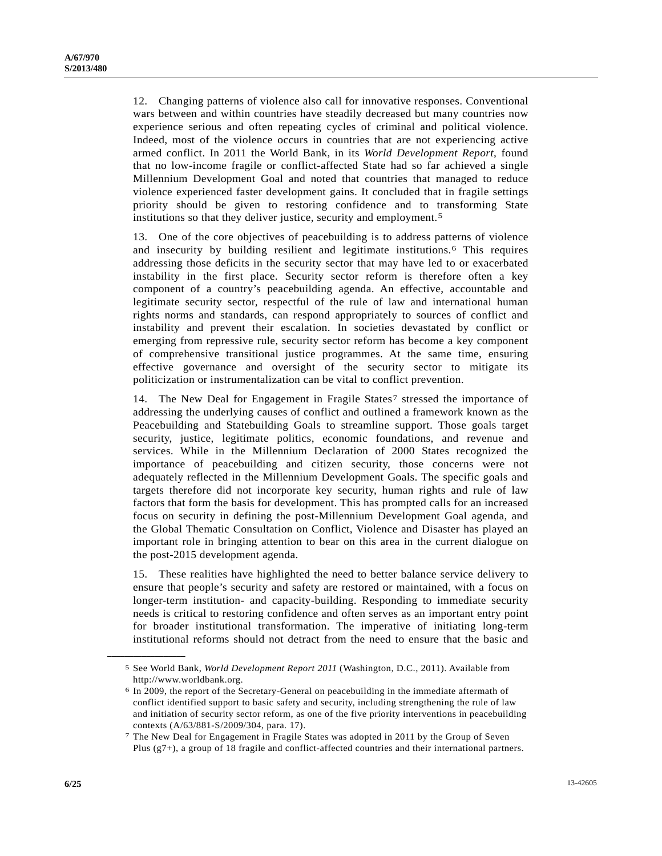12. Changing patterns of violence also call for innovative responses. Conventional wars between and within countries have steadily decreased but many countries now experience serious and often repeating cycles of criminal and political violence. Indeed, most of the violence occurs in countries that are not experiencing active armed conflict. In 2011 the World Bank, in its *World Development Report*, found that no low-income fragile or conflict-affected State had so far achieved a single Millennium Development Goal and noted that countries that managed to reduce violence experienced faster development gains. It concluded that in fragile settings priority should be given to restoring confidence and to transforming State institutions so that they deliver justice, security and employment.<sup>[5](#page-5-0)</sup>

13. One of the core objectives of peacebuilding is to address patterns of violence and insecurity by building resilient and legitimate institutions.[6](#page-5-1) This requires addressing those deficits in the security sector that may have led to or exacerbated instability in the first place. Security sector reform is therefore often a key component of a country's peacebuilding agenda. An effective, accountable and legitimate security sector, respectful of the rule of law and international human rights norms and standards, can respond appropriately to sources of conflict and instability and prevent their escalation. In societies devastated by conflict or emerging from repressive rule, security sector reform has become a key component of comprehensive transitional justice programmes. At the same time, ensuring effective governance and oversight of the security sector to mitigate its politicization or instrumentalization can be vital to conflict prevention.

14. The New Deal for Engagement in Fragile States[7](#page-5-2) stressed the importance of addressing the underlying causes of conflict and outlined a framework known as the Peacebuilding and Statebuilding Goals to streamline support. Those goals target security, justice, legitimate politics, economic foundations, and revenue and services. While in the Millennium Declaration of 2000 States recognized the importance of peacebuilding and citizen security, those concerns were not adequately reflected in the Millennium Development Goals. The specific goals and targets therefore did not incorporate key security, human rights and rule of law factors that form the basis for development. This has prompted calls for an increased focus on security in defining the post-Millennium Development Goal agenda, and the Global Thematic Consultation on Conflict, Violence and Disaster has played an important role in bringing attention to bear on this area in the current dialogue on the post-2015 development agenda.

15. These realities have highlighted the need to better balance service delivery to ensure that people's security and safety are restored or maintained, with a focus on longer-term institution- and capacity-building. Responding to immediate security needs is critical to restoring confidence and often serves as an important entry point for broader institutional transformation. The imperative of initiating long-term institutional reforms should not detract from the need to ensure that the basic and

<span id="page-5-0"></span><sup>5</sup> See World Bank, *World Development Report 2011* (Washington, D.C., 2011). Available from http://www.worldbank.org.

<span id="page-5-1"></span><sup>6</sup> In 2009, the report of the Secretary-General on peacebuilding in the immediate aftermath of conflict identified support to basic safety and security, including strengthening the rule of law and initiation of security sector reform, as one of the five priority interventions in peacebuilding contexts (A/63/881-S/2009/304, para. 17).

<span id="page-5-2"></span><sup>7</sup> The New Deal for Engagement in Fragile States was adopted in 2011 by the Group of Seven Plus (g7+), a group of 18 fragile and conflict-affected countries and their international partners.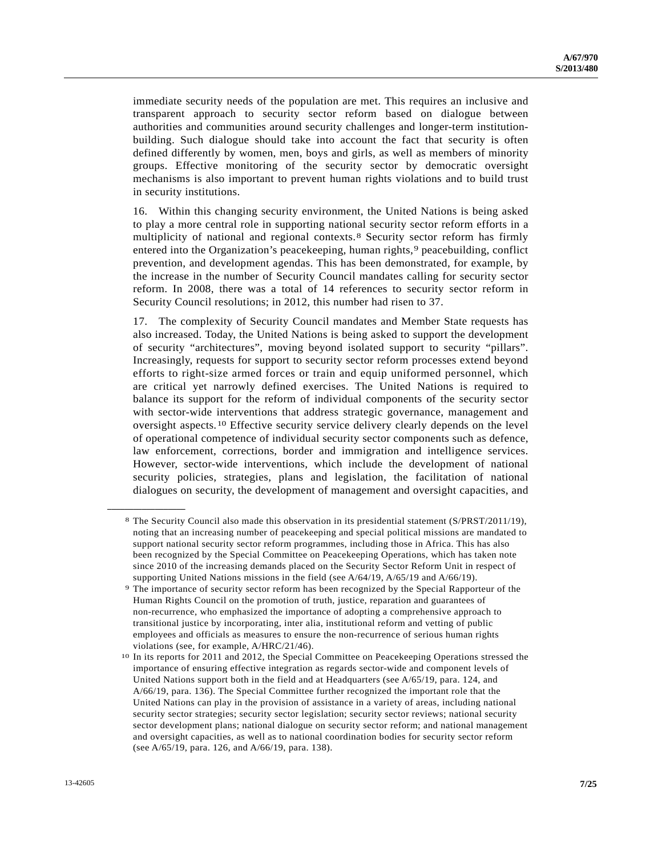immediate security needs of the population are met. This requires an inclusive and transparent approach to security sector reform based on dialogue between authorities and communities around security challenges and longer-term institutionbuilding. Such dialogue should take into account the fact that security is often defined differently by women, men, boys and girls, as well as members of minority groups. Effective monitoring of the security sector by democratic oversight mechanisms is also important to prevent human rights violations and to build trust in security institutions.

16. Within this changing security environment, the United Nations is being asked to play a more central role in supporting national security sector reform efforts in a multiplicity of national and regional contexts.[8](#page-6-0) Security sector reform has firmly entered into the Organization's peacekeeping, human rights,<sup>[9](#page-6-1)</sup> peacebuilding, conflict prevention, and development agendas. This has been demonstrated, for example, by the increase in the number of Security Council mandates calling for security sector reform. In 2008, there was a total of 14 references to security sector reform in Security Council resolutions; in 2012, this number had risen to 37.

17. The complexity of Security Council mandates and Member State requests has also increased. Today, the United Nations is being asked to support the development of security "architectures", moving beyond isolated support to security "pillars". Increasingly, requests for support to security sector reform processes extend beyond efforts to right-size armed forces or train and equip uniformed personnel, which are critical yet narrowly defined exercises. The United Nations is required to balance its support for the reform of individual components of the security sector with sector-wide interventions that address strategic governance, management and oversight aspects.[1](#page-6-2)0 Effective security service delivery clearly depends on the level of operational competence of individual security sector components such as defence, law enforcement, corrections, border and immigration and intelligence services. However, sector-wide interventions, which include the development of national security policies, strategies, plans and legislation, the facilitation of national dialogues on security, the development of management and oversight capacities, and

<span id="page-6-0"></span><sup>8</sup> The Security Council also made this observation in its presidential statement (S/PRST/2011/19), noting that an increasing number of peacekeeping and special political missions are mandated to support national security sector reform programmes, including those in Africa. This has also been recognized by the Special Committee on Peacekeeping Operations, which has taken note since 2010 of the increasing demands placed on the Security Sector Reform Unit in respect of supporting United Nations missions in the field (see A/64/19, A/65/19 and A/66/19).

<span id="page-6-1"></span><sup>9</sup> The importance of security sector reform has been recognized by the Special Rapporteur of the Human Rights Council on the promotion of truth, justice, reparation and guarantees of non-recurrence, who emphasized the importance of adopting a comprehensive approach to transitional justice by incorporating, inter alia, institutional reform and vetting of public employees and officials as measures to ensure the non-recurrence of serious human rights violations (see, for example, A/HRC/21/46).

<span id="page-6-2"></span><sup>10</sup> In its reports for 2011 and 2012, the Special Committee on Peacekeeping Operations stressed the importance of ensuring effective integration as regards sector-wide and component levels of United Nations support both in the field and at Headquarters (see A/65/19, para. 124, and A/66/19, para. 136). The Special Committee further recognized the important role that the United Nations can play in the provision of assistance in a variety of areas, including national security sector strategies; security sector legislation; security sector reviews; national security sector development plans; national dialogue on security sector reform; and national management and oversight capacities, as well as to national coordination bodies for security sector reform (see A/65/19, para. 126, and A/66/19, para. 138).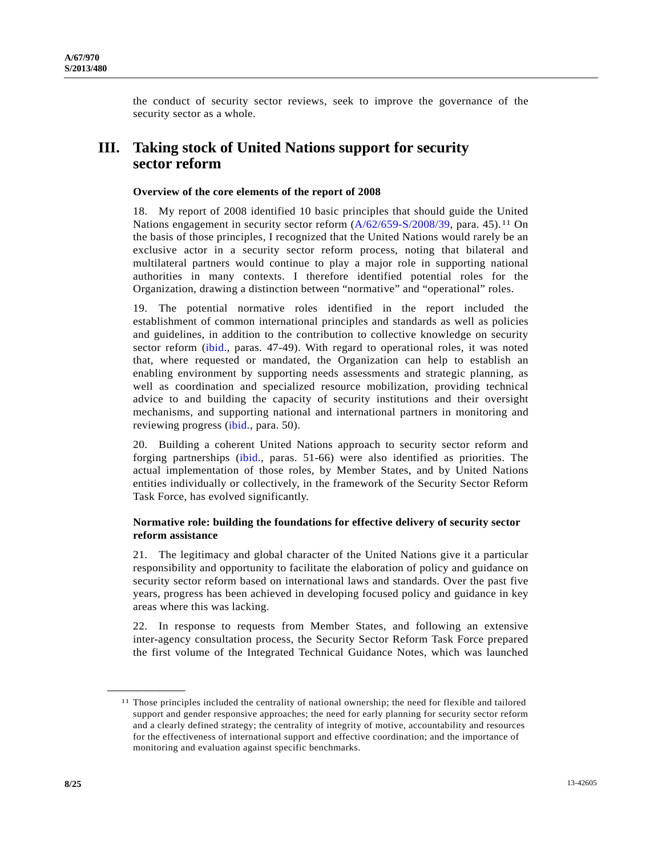the conduct of security sector reviews, seek to improve the governance of the security sector as a whole.

## **III. Taking stock of United Nations support for security sector reform**

#### **Overview of the core elements of the report of 2008**

18. My report of 2008 identified 10 basic principles that should guide the United Nations engagement in security sector reform  $(A/62/659-S/2008/39$  $(A/62/659-S/2008/39$ , para. 45).<sup>[1](#page-7-0)1</sup> On the basis of those principles, I recognized that the United Nations would rarely be an exclusive actor in a security sector reform process, noting that bilateral and multilateral partners would continue to play a major role in supporting national authorities in many contexts. I therefore identified potential roles for the Organization, drawing a distinction between "normative" and "operational" roles.

19. The potential normative roles identified in the report included the establishment of common international principles and standards as well as policies and guidelines, in addition to the contribution to collective knowledge on security sector reform [\(ibid.,](http://undocs.org/A/62/659/S/2008/39) paras. 47-49). With regard to operational roles, it was noted that, where requested or mandated, the Organization can help to establish an enabling environment by supporting needs assessments and strategic planning, as well as coordination and specialized resource mobilization, providing technical advice to and building the capacity of security institutions and their oversight mechanisms, and supporting national and international partners in monitoring and reviewing progress ([ibid.](http://undocs.org/A/62/659/S/2008/39), para. 50).

20. Building a coherent United Nations approach to security sector reform and forging partnerships ([ibid.](http://undocs.org/A/62/659), paras. 51-66) were also identified as priorities. The actual implementation of those roles, by Member States, and by United Nations entities individually or collectively, in the framework of the Security Sector Reform Task Force, has evolved significantly.

#### **Normative role: building the foundations for effective delivery of security sector reform assistance**

21. The legitimacy and global character of the United Nations give it a particular responsibility and opportunity to facilitate the elaboration of policy and guidance on security sector reform based on international laws and standards. Over the past five years, progress has been achieved in developing focused policy and guidance in key areas where this was lacking.

22. In response to requests from Member States, and following an extensive inter-agency consultation process, the Security Sector Reform Task Force prepared the first volume of the Integrated Technical Guidance Notes, which was launched

<span id="page-7-0"></span><sup>11</sup> Those principles included the centrality of national ownership; the need for flexible and tailored support and gender responsive approaches; the need for early planning for security sector reform and a clearly defined strategy; the centrality of integrity of motive, accountability and resources for the effectiveness of international support and effective coordination; and the importance of monitoring and evaluation against specific benchmarks.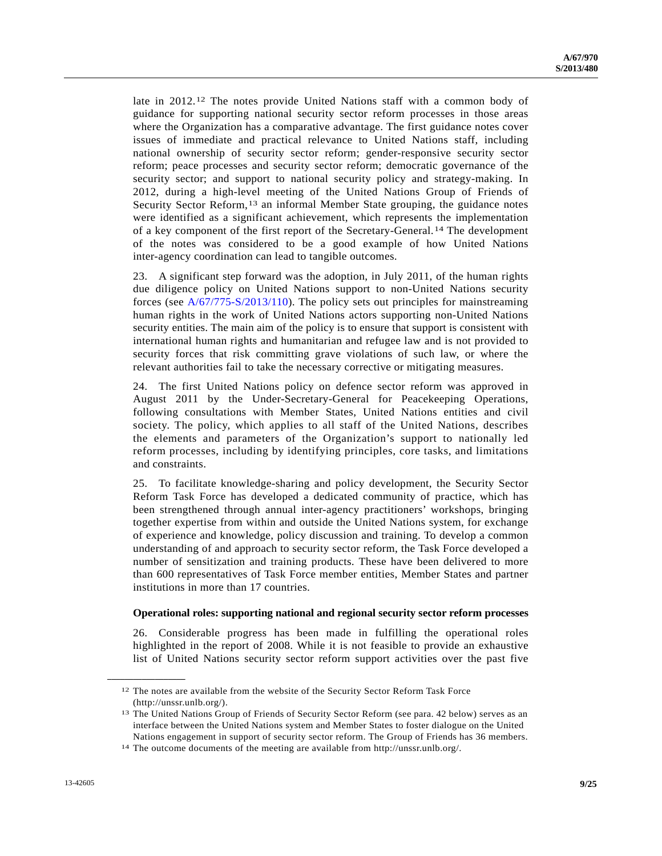late in 2012.[12](#page-8-0) The notes provide United Nations staff with a common body of guidance for supporting national security sector reform processes in those areas where the Organization has a comparative advantage. The first guidance notes cover issues of immediate and practical relevance to United Nations staff, including national ownership of security sector reform; gender-responsive security sector reform; peace processes and security sector reform; democratic governance of the security sector; and support to national security policy and strategy-making. In 2012, during a high-level meeting of the United Nations Group of Friends of Security Sector Reform,[1](#page-8-1)3 an informal Member State grouping, the guidance notes were identified as a significant achievement, which represents the implementation of a key component of the first report of the Secretary-General.[1](#page-8-2)4 The development of the notes was considered to be a good example of how United Nations inter-agency coordination can lead to tangible outcomes.

23. A significant step forward was the adoption, in July 2011, of the human rights due diligence policy on United Nations support to non-United Nations security forces (see [A/67/775-S/2013/110\)](http://undocs.org/A/67/775). The policy sets out principles for mainstreaming human rights in the work of United Nations actors supporting non-United Nations security entities. The main aim of the policy is to ensure that support is consistent with international human rights and humanitarian and refugee law and is not provided to security forces that risk committing grave violations of such law, or where the relevant authorities fail to take the necessary corrective or mitigating measures.

24. The first United Nations policy on defence sector reform was approved in August 2011 by the Under-Secretary-General for Peacekeeping Operations, following consultations with Member States, United Nations entities and civil society. The policy, which applies to all staff of the United Nations, describes the elements and parameters of the Organization's support to nationally led reform processes, including by identifying principles, core tasks, and limitations and constraints.

25. To facilitate knowledge-sharing and policy development, the Security Sector Reform Task Force has developed a dedicated community of practice, which has been strengthened through annual inter-agency practitioners' workshops, bringing together expertise from within and outside the United Nations system, for exchange of experience and knowledge, policy discussion and training. To develop a common understanding of and approach to security sector reform, the Task Force developed a number of sensitization and training products. These have been delivered to more than 600 representatives of Task Force member entities, Member States and partner institutions in more than 17 countries.

#### **Operational roles: supporting national and regional security sector reform processes**

26. Considerable progress has been made in fulfilling the operational roles highlighted in the report of 2008. While it is not feasible to provide an exhaustive list of United Nations security sector reform support activities over the past five

<span id="page-8-0"></span><sup>12</sup> The notes are available from the website of the Security Sector Reform Task Force (http://unssr.unlb.org/).

<span id="page-8-1"></span><sup>13</sup> The United Nations Group of Friends of Security Sector Reform (see para. 42 below) serves as an interface between the United Nations system and Member States to foster dialogue on the United Nations engagement in support of security sector reform. The Group of Friends has 36 members.

<span id="page-8-2"></span><sup>14</sup> The outcome documents of the meeting are available from http://unssr.unlb.org/.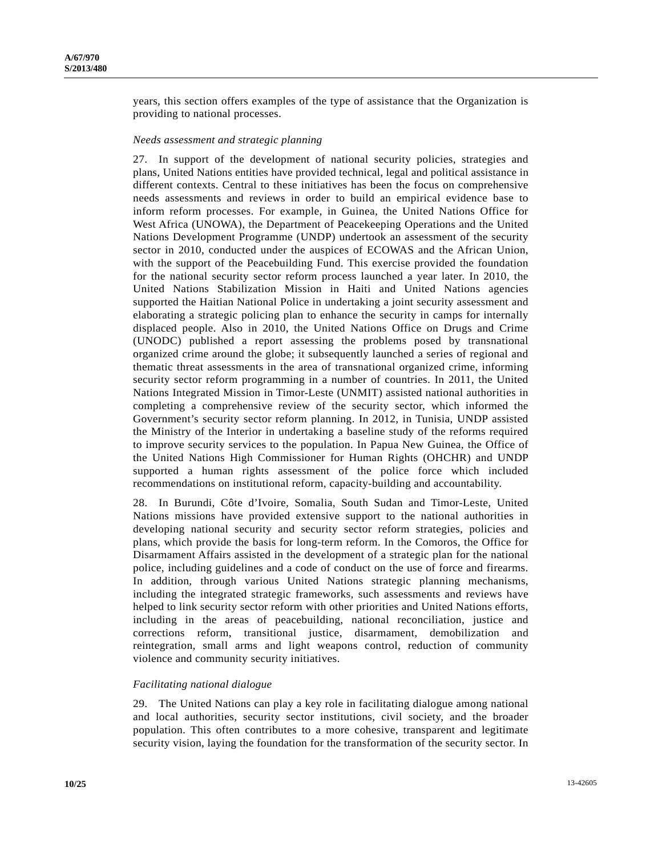years, this section offers examples of the type of assistance that the Organization is providing to national processes.

#### *Needs assessment and strategic planning*

27. In support of the development of national security policies, strategies and plans, United Nations entities have provided technical, legal and political assistance in different contexts. Central to these initiatives has been the focus on comprehensive needs assessments and reviews in order to build an empirical evidence base to inform reform processes. For example, in Guinea, the United Nations Office for West Africa (UNOWA), the Department of Peacekeeping Operations and the United Nations Development Programme (UNDP) undertook an assessment of the security sector in 2010, conducted under the auspices of ECOWAS and the African Union, with the support of the Peacebuilding Fund. This exercise provided the foundation for the national security sector reform process launched a year later. In 2010, the United Nations Stabilization Mission in Haiti and United Nations agencies supported the Haitian National Police in undertaking a joint security assessment and elaborating a strategic policing plan to enhance the security in camps for internally displaced people. Also in 2010, the United Nations Office on Drugs and Crime (UNODC) published a report assessing the problems posed by transnational organized crime around the globe; it subsequently launched a series of regional and thematic threat assessments in the area of transnational organized crime, informing security sector reform programming in a number of countries. In 2011, the United Nations Integrated Mission in Timor-Leste (UNMIT) assisted national authorities in completing a comprehensive review of the security sector, which informed the Government's security sector reform planning. In 2012, in Tunisia, UNDP assisted the Ministry of the Interior in undertaking a baseline study of the reforms required to improve security services to the population. In Papua New Guinea, the Office of the United Nations High Commissioner for Human Rights (OHCHR) and UNDP supported a human rights assessment of the police force which included recommendations on institutional reform, capacity-building and accountability.

28. In Burundi, Côte d'Ivoire, Somalia, South Sudan and Timor-Leste, United Nations missions have provided extensive support to the national authorities in developing national security and security sector reform strategies, policies and plans, which provide the basis for long-term reform. In the Comoros, the Office for Disarmament Affairs assisted in the development of a strategic plan for the national police, including guidelines and a code of conduct on the use of force and firearms. In addition, through various United Nations strategic planning mechanisms, including the integrated strategic frameworks, such assessments and reviews have helped to link security sector reform with other priorities and United Nations efforts, including in the areas of peacebuilding, national reconciliation, justice and corrections reform, transitional justice, disarmament, demobilization and reintegration, small arms and light weapons control, reduction of community violence and community security initiatives.

#### *Facilitating national dialogue*

29. The United Nations can play a key role in facilitating dialogue among national and local authorities, security sector institutions, civil society, and the broader population. This often contributes to a more cohesive, transparent and legitimate security vision, laying the foundation for the transformation of the security sector. In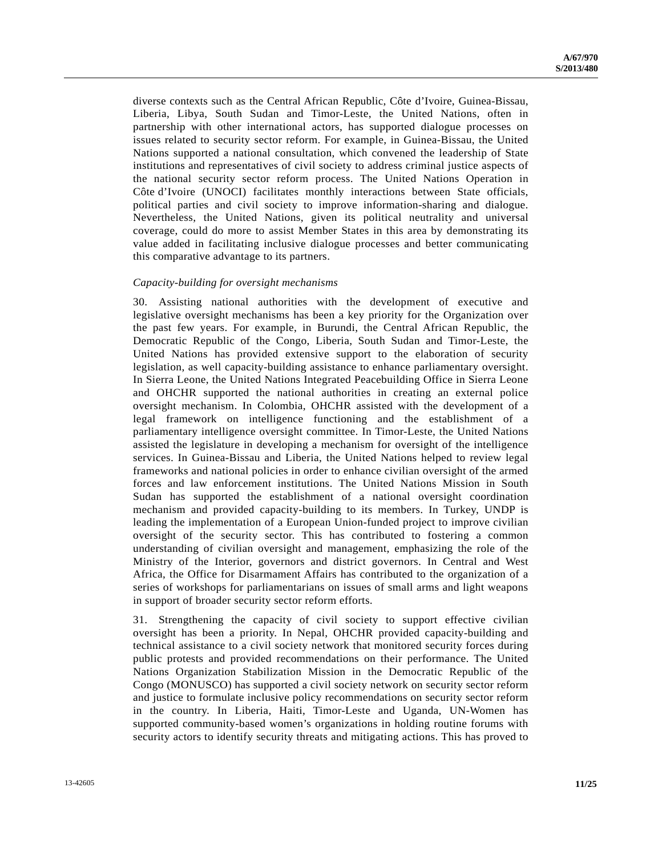diverse contexts such as the Central African Republic, Côte d'Ivoire, Guinea-Bissau, Liberia, Libya, South Sudan and Timor-Leste, the United Nations, often in partnership with other international actors, has supported dialogue processes on issues related to security sector reform. For example, in Guinea-Bissau, the United Nations supported a national consultation, which convened the leadership of State institutions and representatives of civil society to address criminal justice aspects of the national security sector reform process. The United Nations Operation in Côte d'Ivoire (UNOCI) facilitates monthly interactions between State officials, political parties and civil society to improve information-sharing and dialogue. Nevertheless, the United Nations, given its political neutrality and universal coverage, could do more to assist Member States in this area by demonstrating its value added in facilitating inclusive dialogue processes and better communicating this comparative advantage to its partners.

#### *Capacity-building for oversight mechanisms*

30. Assisting national authorities with the development of executive and legislative oversight mechanisms has been a key priority for the Organization over the past few years. For example, in Burundi, the Central African Republic, the Democratic Republic of the Congo, Liberia, South Sudan and Timor-Leste, the United Nations has provided extensive support to the elaboration of security legislation, as well capacity-building assistance to enhance parliamentary oversight. In Sierra Leone, the United Nations Integrated Peacebuilding Office in Sierra Leone and OHCHR supported the national authorities in creating an external police oversight mechanism. In Colombia, OHCHR assisted with the development of a legal framework on intelligence functioning and the establishment of a parliamentary intelligence oversight committee. In Timor-Leste, the United Nations assisted the legislature in developing a mechanism for oversight of the intelligence services. In Guinea-Bissau and Liberia, the United Nations helped to review legal frameworks and national policies in order to enhance civilian oversight of the armed forces and law enforcement institutions. The United Nations Mission in South Sudan has supported the establishment of a national oversight coordination mechanism and provided capacity-building to its members. In Turkey, UNDP is leading the implementation of a European Union-funded project to improve civilian oversight of the security sector. This has contributed to fostering a common understanding of civilian oversight and management, emphasizing the role of the Ministry of the Interior, governors and district governors. In Central and West Africa, the Office for Disarmament Affairs has contributed to the organization of a series of workshops for parliamentarians on issues of small arms and light weapons in support of broader security sector reform efforts.

31. Strengthening the capacity of civil society to support effective civilian oversight has been a priority. In Nepal, OHCHR provided capacity-building and technical assistance to a civil society network that monitored security forces during public protests and provided recommendations on their performance. The United Nations Organization Stabilization Mission in the Democratic Republic of the Congo (MONUSCO) has supported a civil society network on security sector reform and justice to formulate inclusive policy recommendations on security sector reform in the country. In Liberia, Haiti, Timor-Leste and Uganda, UN-Women has supported community-based women's organizations in holding routine forums with security actors to identify security threats and mitigating actions. This has proved to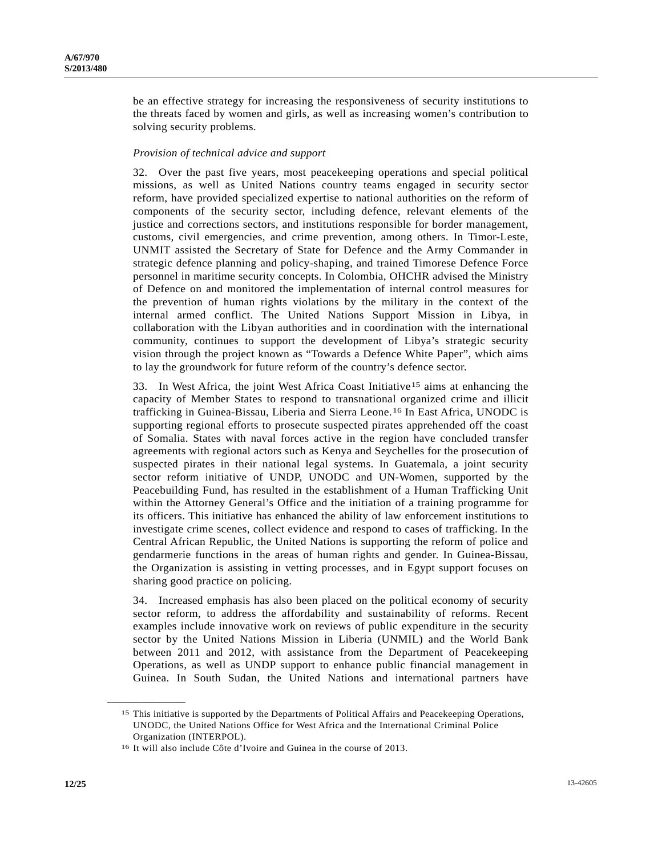be an effective strategy for increasing the responsiveness of security institutions to the threats faced by women and girls, as well as increasing women's contribution to solving security problems.

#### *Provision of technical advice and support*

32. Over the past five years, most peacekeeping operations and special political missions, as well as United Nations country teams engaged in security sector reform, have provided specialized expertise to national authorities on the reform of components of the security sector, including defence, relevant elements of the justice and corrections sectors, and institutions responsible for border management, customs, civil emergencies, and crime prevention, among others. In Timor-Leste, UNMIT assisted the Secretary of State for Defence and the Army Commander in strategic defence planning and policy-shaping, and trained Timorese Defence Force personnel in maritime security concepts. In Colombia, OHCHR advised the Ministry of Defence on and monitored the implementation of internal control measures for the prevention of human rights violations by the military in the context of the internal armed conflict. The United Nations Support Mission in Libya, in collaboration with the Libyan authorities and in coordination with the international community, continues to support the development of Libya's strategic security vision through the project known as "Towards a Defence White Paper", which aims to lay the groundwork for future reform of the country's defence sector.

33. In West Africa, the joint West Africa Coast Initiative[15](#page-11-0) aims at enhancing the capacity of Member States to respond to transnational organized crime and illicit trafficking in Guinea-Bissau, Liberia and Sierra Leone.[16](#page-11-1) In East Africa, UNODC is supporting regional efforts to prosecute suspected pirates apprehended off the coast of Somalia. States with naval forces active in the region have concluded transfer agreements with regional actors such as Kenya and Seychelles for the prosecution of suspected pirates in their national legal systems. In Guatemala, a joint security sector reform initiative of UNDP, UNODC and UN-Women, supported by the Peacebuilding Fund, has resulted in the establishment of a Human Trafficking Unit within the Attorney General's Office and the initiation of a training programme for its officers. This initiative has enhanced the ability of law enforcement institutions to investigate crime scenes, collect evidence and respond to cases of trafficking. In the Central African Republic, the United Nations is supporting the reform of police and gendarmerie functions in the areas of human rights and gender. In Guinea-Bissau, the Organization is assisting in vetting processes, and in Egypt support focuses on sharing good practice on policing.

34. Increased emphasis has also been placed on the political economy of security sector reform, to address the affordability and sustainability of reforms. Recent examples include innovative work on reviews of public expenditure in the security sector by the United Nations Mission in Liberia (UNMIL) and the World Bank between 2011 and 2012, with assistance from the Department of Peacekeeping Operations, as well as UNDP support to enhance public financial management in Guinea. In South Sudan, the United Nations and international partners have

<span id="page-11-0"></span><sup>15</sup> This initiative is supported by the Departments of Political Affairs and Peacekeeping Operations, UNODC, the United Nations Office for West Africa and the International Criminal Police Organization (INTERPOL).

<span id="page-11-1"></span><sup>16</sup> It will also include Côte d'Ivoire and Guinea in the course of 2013.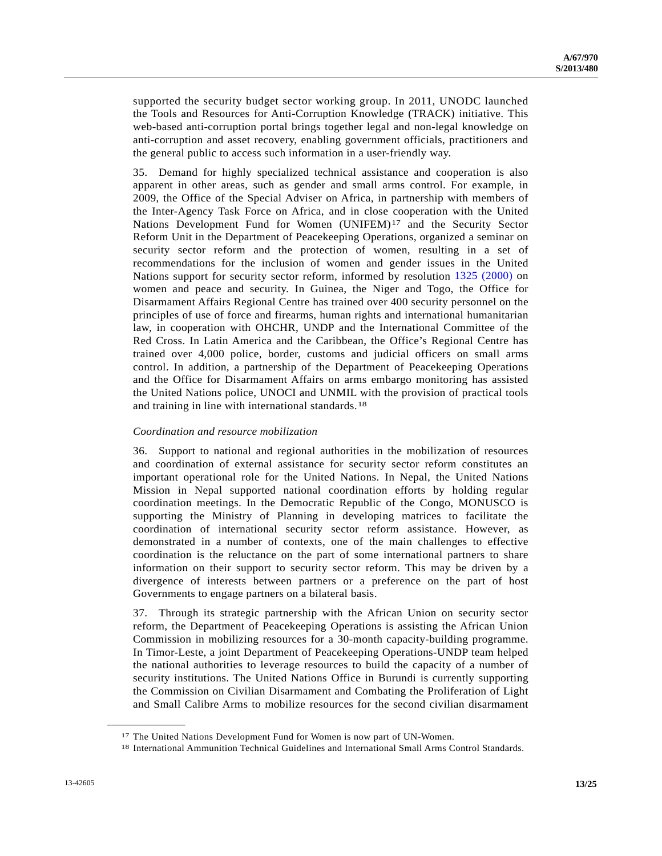supported the security budget sector working group. In 2011, UNODC launched the Tools and Resources for Anti-Corruption Knowledge (TRACK) initiative. This web-based anti-corruption portal brings together legal and non-legal knowledge on anti-corruption and asset recovery, enabling government officials, practitioners and the general public to access such information in a user-friendly way.

35. Demand for highly specialized technical assistance and cooperation is also apparent in other areas, such as gender and small arms control. For example, in 2009, the Office of the Special Adviser on Africa, in partnership with members of the Inter-Agency Task Force on Africa, and in close cooperation with the United Nations Development Fund for Women (UNIFEM)[1](#page-12-0)7 and the Security Sector Reform Unit in the Department of Peacekeeping Operations, organized a seminar on security sector reform and the protection of women, resulting in a set of recommendations for the inclusion of women and gender issues in the United Nations support for security sector reform, informed by resolution [1325 \(2000\)](http://undocs.org/S/RES/1325(2000)) on women and peace and security. In Guinea, the Niger and Togo, the Office for Disarmament Affairs Regional Centre has trained over 400 security personnel on the principles of use of force and firearms, human rights and international humanitarian law, in cooperation with OHCHR, UNDP and the International Committee of the Red Cross. In Latin America and the Caribbean, the Office's Regional Centre has trained over 4,000 police, border, customs and judicial officers on small arms control. In addition, a partnership of the Department of Peacekeeping Operations and the Office for Disarmament Affairs on arms embargo monitoring has assisted the United Nations police, UNOCI and UNMIL with the provision of practical tools and training in line with international standards.[1](#page-12-1)8

#### *Coordination and resource mobilization*

36. Support to national and regional authorities in the mobilization of resources and coordination of external assistance for security sector reform constitutes an important operational role for the United Nations. In Nepal, the United Nations Mission in Nepal supported national coordination efforts by holding regular coordination meetings. In the Democratic Republic of the Congo, MONUSCO is supporting the Ministry of Planning in developing matrices to facilitate the coordination of international security sector reform assistance. However, as demonstrated in a number of contexts, one of the main challenges to effective coordination is the reluctance on the part of some international partners to share information on their support to security sector reform. This may be driven by a divergence of interests between partners or a preference on the part of host Governments to engage partners on a bilateral basis.

37. Through its strategic partnership with the African Union on security sector reform, the Department of Peacekeeping Operations is assisting the African Union Commission in mobilizing resources for a 30-month capacity-building programme. In Timor-Leste, a joint Department of Peacekeeping Operations-UNDP team helped the national authorities to leverage resources to build the capacity of a number of security institutions. The United Nations Office in Burundi is currently supporting the Commission on Civilian Disarmament and Combating the Proliferation of Light and Small Calibre Arms to mobilize resources for the second civilian disarmament

<span id="page-12-1"></span><span id="page-12-0"></span><sup>&</sup>lt;sup>17</sup> The United Nations Development Fund for Women is now part of UN-Women.<br><sup>18</sup> International Ammunition Technical Guidelines and International Small Arms Control Standards.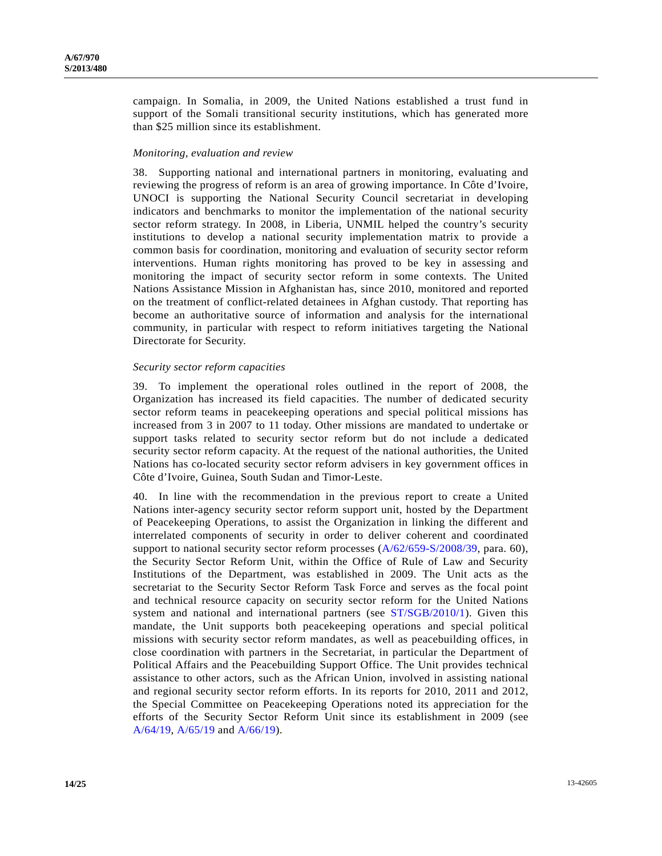campaign. In Somalia, in 2009, the United Nations established a trust fund in support of the Somali transitional security institutions, which has generated more than \$25 million since its establishment.

#### *Monitoring, evaluation and review*

38. Supporting national and international partners in monitoring, evaluating and reviewing the progress of reform is an area of growing importance. In Côte d'Ivoire, UNOCI is supporting the National Security Council secretariat in developing indicators and benchmarks to monitor the implementation of the national security sector reform strategy. In 2008, in Liberia, UNMIL helped the country's security institutions to develop a national security implementation matrix to provide a common basis for coordination, monitoring and evaluation of security sector reform interventions. Human rights monitoring has proved to be key in assessing and monitoring the impact of security sector reform in some contexts. The United Nations Assistance Mission in Afghanistan has, since 2010, monitored and reported on the treatment of conflict-related detainees in Afghan custody. That reporting has become an authoritative source of information and analysis for the international community, in particular with respect to reform initiatives targeting the National Directorate for Security.

#### *Security sector reform capacities*

39. To implement the operational roles outlined in the report of 2008, the Organization has increased its field capacities. The number of dedicated security sector reform teams in peacekeeping operations and special political missions has increased from 3 in 2007 to 11 today. Other missions are mandated to undertake or support tasks related to security sector reform but do not include a dedicated security sector reform capacity. At the request of the national authorities, the United Nations has co-located security sector reform advisers in key government offices in Côte d'Ivoire, Guinea, South Sudan and Timor-Leste.

40. In line with the recommendation in the previous report to create a United Nations inter-agency security sector reform support unit, hosted by the Department of Peacekeeping Operations, to assist the Organization in linking the different and interrelated components of security in order to deliver coherent and coordinated support to national security sector reform processes [\(A/62/659-S/2008/39,](http://undocs.org/A/62/659) para. 60), the Security Sector Reform Unit, within the Office of Rule of Law and Security Institutions of the Department, was established in 2009. The Unit acts as the secretariat to the Security Sector Reform Task Force and serves as the focal point and technical resource capacity on security sector reform for the United Nations system and national and international partners (see [ST/SGB/2010/1](http://undocs.org/ST/SGB/2010/1)). Given this mandate, the Unit supports both peacekeeping operations and special political missions with security sector reform mandates, as well as peacebuilding offices, in close coordination with partners in the Secretariat, in particular the Department of Political Affairs and the Peacebuilding Support Office. The Unit provides technical assistance to other actors, such as the African Union, involved in assisting national and regional security sector reform efforts. In its reports for 2010, 2011 and 2012, the Special Committee on Peacekeeping Operations noted its appreciation for the efforts of the Security Sector Reform Unit since its establishment in 2009 (see [A/64/19](http://undocs.org/A/64/19), [A/65/19](http://undocs.org/A/65/19) and [A/66/19](http://undocs.org/A/66/19)).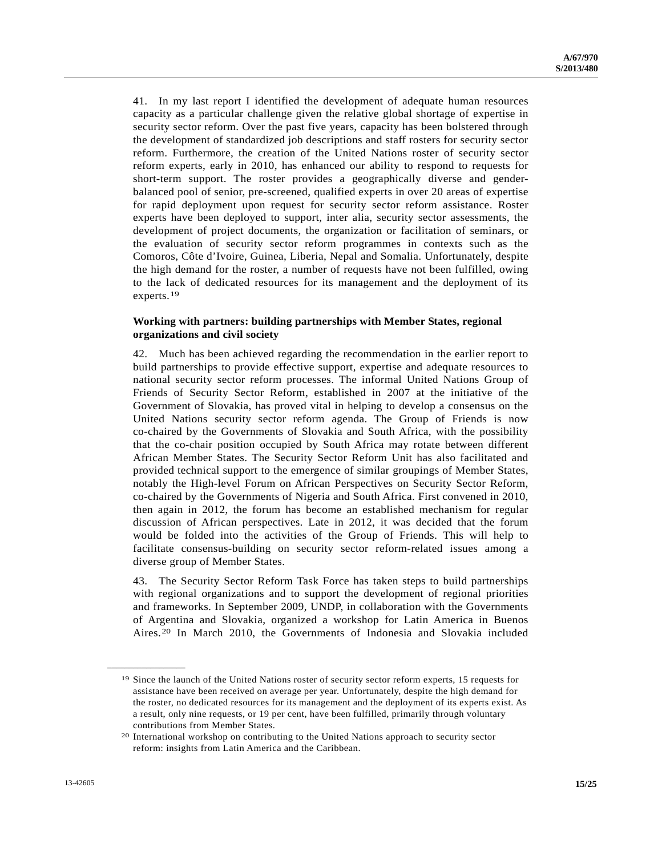41. In my last report I identified the development of adequate human resources capacity as a particular challenge given the relative global shortage of expertise in security sector reform. Over the past five years, capacity has been bolstered through the development of standardized job descriptions and staff rosters for security sector reform. Furthermore, the creation of the United Nations roster of security sector reform experts, early in 2010, has enhanced our ability to respond to requests for short-term support. The roster provides a geographically diverse and genderbalanced pool of senior, pre-screened, qualified experts in over 20 areas of expertise for rapid deployment upon request for security sector reform assistance. Roster experts have been deployed to support, inter alia, security sector assessments, the development of project documents, the organization or facilitation of seminars, or the evaluation of security sector reform programmes in contexts such as the Comoros, Côte d'Ivoire, Guinea, Liberia, Nepal and Somalia. Unfortunately, despite the high demand for the roster, a number of requests have not been fulfilled, owing to the lack of dedicated resources for its management and the deployment of its experts.[19](#page-14-0)

#### **Working with partners: building partnerships with Member States, regional organizations and civil society**

42. Much has been achieved regarding the recommendation in the earlier report to build partnerships to provide effective support, expertise and adequate resources to national security sector reform processes. The informal United Nations Group of Friends of Security Sector Reform, established in 2007 at the initiative of the Government of Slovakia, has proved vital in helping to develop a consensus on the United Nations security sector reform agenda. The Group of Friends is now co-chaired by the Governments of Slovakia and South Africa, with the possibility that the co-chair position occupied by South Africa may rotate between different African Member States. The Security Sector Reform Unit has also facilitated and provided technical support to the emergence of similar groupings of Member States, notably the High-level Forum on African Perspectives on Security Sector Reform, co-chaired by the Governments of Nigeria and South Africa. First convened in 2010, then again in 2012, the forum has become an established mechanism for regular discussion of African perspectives. Late in 2012, it was decided that the forum would be folded into the activities of the Group of Friends. This will help to facilitate consensus-building on security sector reform-related issues among a diverse group of Member States.

43. The Security Sector Reform Task Force has taken steps to build partnerships with regional organizations and to support the development of regional priorities and frameworks. In September 2009, UNDP, in collaboration with the Governments of Argentina and Slovakia, organized a workshop for Latin America in Buenos Aires.[20](#page-14-1) In March 2010, the Governments of Indonesia and Slovakia included

<span id="page-14-0"></span><sup>19</sup> Since the launch of the United Nations roster of security sector reform experts, 15 requests for assistance have been received on average per year. Unfortunately, despite the high demand for the roster, no dedicated resources for its management and the deployment of its experts exist. As a result, only nine requests, or 19 per cent, have been fulfilled, primarily through voluntary contributions from Member States.

<span id="page-14-1"></span><sup>20</sup> International workshop on contributing to the United Nations approach to security sector reform: insights from Latin America and the Caribbean.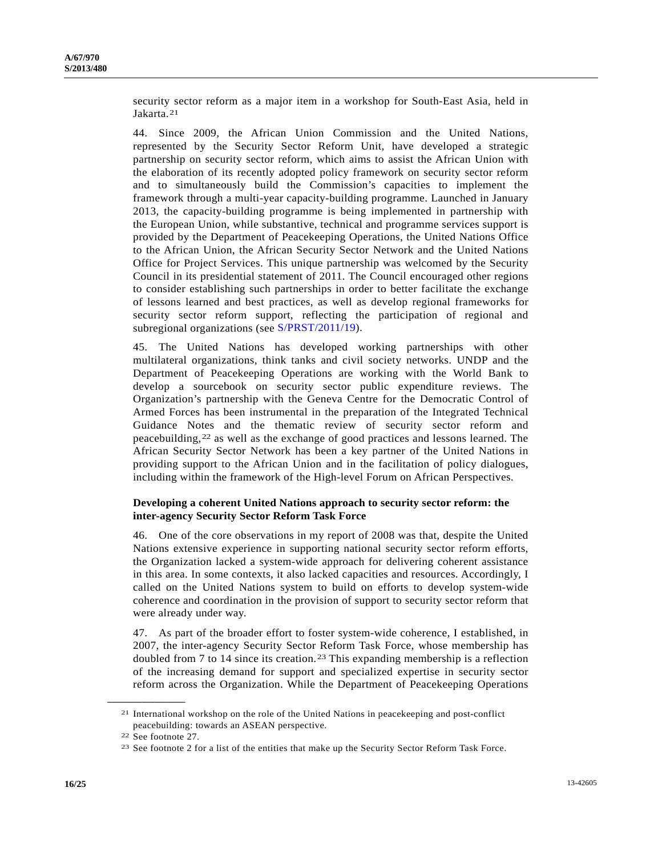security sector reform as a major item in a workshop for South-East Asia, held in Jakarta.[2](#page-15-0)1

44. Since 2009, the African Union Commission and the United Nations, represented by the Security Sector Reform Unit, have developed a strategic partnership on security sector reform, which aims to assist the African Union with the elaboration of its recently adopted policy framework on security sector reform and to simultaneously build the Commission's capacities to implement the framework through a multi-year capacity-building programme. Launched in January 2013, the capacity-building programme is being implemented in partnership with the European Union, while substantive, technical and programme services support is provided by the Department of Peacekeeping Operations, the United Nations Office to the African Union, the African Security Sector Network and the United Nations Office for Project Services. This unique partnership was welcomed by the Security Council in its presidential statement of 2011. The Council encouraged other regions to consider establishing such partnerships in order to better facilitate the exchange of lessons learned and best practices, as well as develop regional frameworks for security sector reform support, reflecting the participation of regional and subregional organizations (see [S/PRST/2011/19](http://undocs.org/S/PRST/2011/19)).

45. The United Nations has developed working partnerships with other multilateral organizations, think tanks and civil society networks. UNDP and the Department of Peacekeeping Operations are working with the World Bank to develop a sourcebook on security sector public expenditure reviews. The Organization's partnership with the Geneva Centre for the Democratic Control of Armed Forces has been instrumental in the preparation of the Integrated Technical Guidance Notes and the thematic review of security sector reform and peacebuilding,[22](#page-15-1) as well as the exchange of good practices and lessons learned. The African Security Sector Network has been a key partner of the United Nations in providing support to the African Union and in the facilitation of policy dialogues, including within the framework of the High-level Forum on African Perspectives.

#### **Developing a coherent United Nations approach to security sector reform: the inter-agency Security Sector Reform Task Force**

46. One of the core observations in my report of 2008 was that, despite the United Nations extensive experience in supporting national security sector reform efforts, the Organization lacked a system-wide approach for delivering coherent assistance in this area. In some contexts, it also lacked capacities and resources. Accordingly, I called on the United Nations system to build on efforts to develop system-wide coherence and coordination in the provision of support to security sector reform that were already under way.

47. As part of the broader effort to foster system-wide coherence, I established, in 2007, the inter-agency Security Sector Reform Task Force, whose membership has doubled from 7 to 14 since its creation.[23](#page-15-2) This expanding membership is a reflection of the increasing demand for support and specialized expertise in security sector reform across the Organization. While the Department of Peacekeeping Operations

<span id="page-15-0"></span><sup>21</sup> International workshop on the role of the United Nations in peacekeeping and post-conflict peacebuilding: towards an ASEAN perspective.

<span id="page-15-1"></span><sup>22</sup> See footnote 27.

<span id="page-15-2"></span><sup>23</sup> See footnote 2 for a list of the entities that make up the Security Sector Reform Task Force.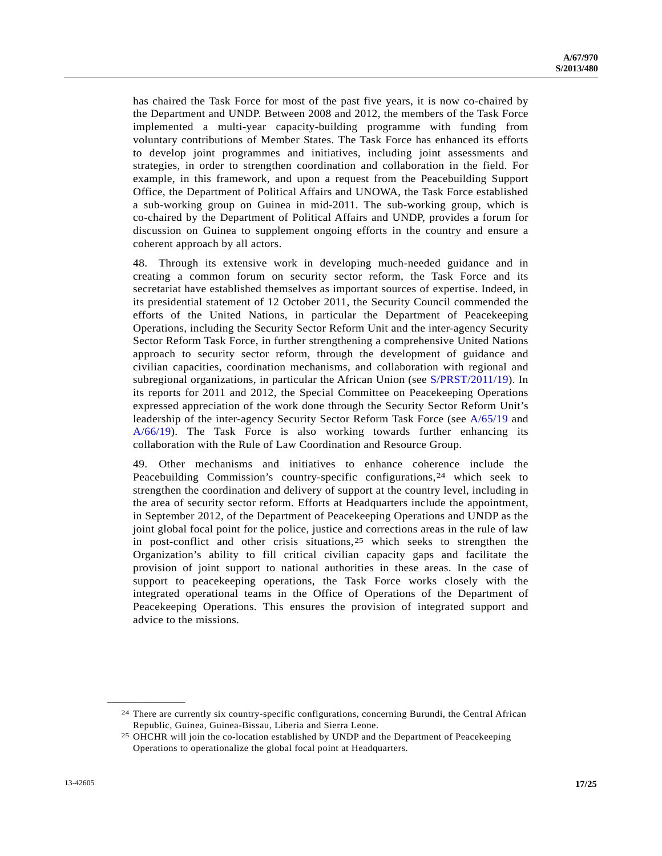has chaired the Task Force for most of the past five years, it is now co-chaired by the Department and UNDP. Between 2008 and 2012, the members of the Task Force implemented a multi-year capacity-building programme with funding from voluntary contributions of Member States. The Task Force has enhanced its efforts to develop joint programmes and initiatives, including joint assessments and strategies, in order to strengthen coordination and collaboration in the field. For example, in this framework, and upon a request from the Peacebuilding Support Office, the Department of Political Affairs and UNOWA, the Task Force established a sub-working group on Guinea in mid-2011. The sub-working group, which is co-chaired by the Department of Political Affairs and UNDP, provides a forum for discussion on Guinea to supplement ongoing efforts in the country and ensure a coherent approach by all actors.

48. Through its extensive work in developing much-needed guidance and in creating a common forum on security sector reform, the Task Force and its secretariat have established themselves as important sources of expertise. Indeed, in its presidential statement of 12 October 2011, the Security Council commended the efforts of the United Nations, in particular the Department of Peacekeeping Operations, including the Security Sector Reform Unit and the inter-agency Security Sector Reform Task Force, in further strengthening a comprehensive United Nations approach to security sector reform, through the development of guidance and civilian capacities, coordination mechanisms, and collaboration with regional and subregional organizations, in particular the African Union (see [S/PRST/2011/19](http://undocs.org/S/PRST/2011/19)). In its reports for 2011 and 2012, the Special Committee on Peacekeeping Operations expressed appreciation of the work done through the Security Sector Reform Unit's leadership of the inter-agency Security Sector Reform Task Force (see [A/65/19](http://undocs.org/A/65/19) and [A/66/19](http://undocs.org/A/66/19)). The Task Force is also working towards further enhancing its collaboration with the Rule of Law Coordination and Resource Group.

49. Other mechanisms and initiatives to enhance coherence include the Peacebuilding Commission's country-specific configurations,<sup>[24](#page-16-0)</sup> which seek to strengthen the coordination and delivery of support at the country level, including in the area of security sector reform. Efforts at Headquarters include the appointment, in September 2012, of the Department of Peacekeeping Operations and UNDP as the joint global focal point for the police, justice and corrections areas in the rule of law in post-conflict and other crisis situations,  $25$  $25$  which seeks to strengthen the Organization's ability to fill critical civilian capacity gaps and facilitate the provision of joint support to national authorities in these areas. In the case of support to peacekeeping operations, the Task Force works closely with the integrated operational teams in the Office of Operations of the Department of Peacekeeping Operations. This ensures the provision of integrated support and advice to the missions.

<span id="page-16-0"></span><sup>24</sup> There are currently six country-specific configurations, concerning Burundi, the Central African Republic, Guinea, Guinea-Bissau, Liberia and Sierra Leone.

<span id="page-16-1"></span><sup>25</sup> OHCHR will join the co-location established by UNDP and the Department of Peacekeeping Operations to operationalize the global focal point at Headquarters.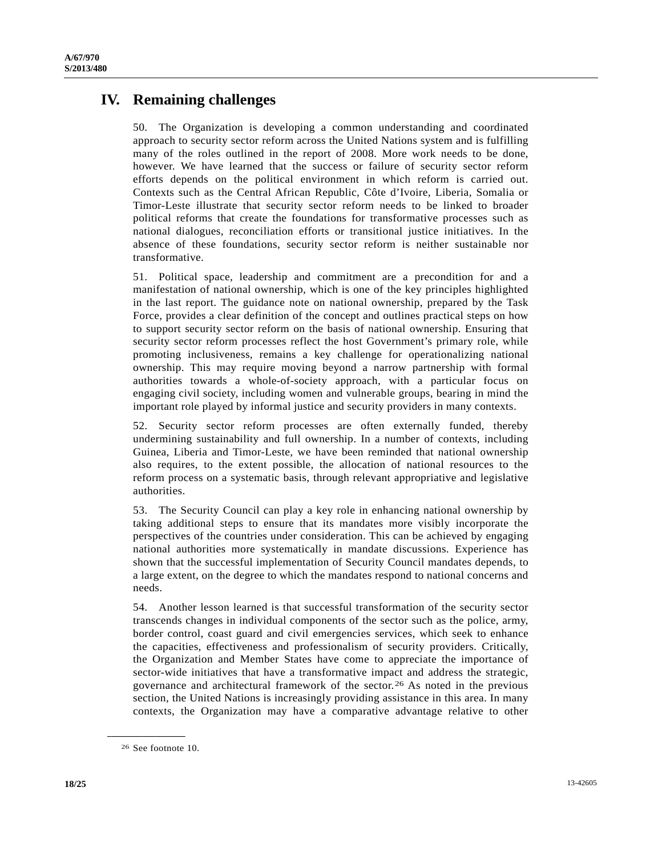# **IV. Remaining challenges**

50. The Organization is developing a common understanding and coordinated approach to security sector reform across the United Nations system and is fulfilling many of the roles outlined in the report of 2008. More work needs to be done, however. We have learned that the success or failure of security sector reform efforts depends on the political environment in which reform is carried out. Contexts such as the Central African Republic, Côte d'Ivoire, Liberia, Somalia or Timor-Leste illustrate that security sector reform needs to be linked to broader political reforms that create the foundations for transformative processes such as national dialogues, reconciliation efforts or transitional justice initiatives. In the absence of these foundations, security sector reform is neither sustainable nor transformative.

51. Political space, leadership and commitment are a precondition for and a manifestation of national ownership, which is one of the key principles highlighted in the last report. The guidance note on national ownership, prepared by the Task Force, provides a clear definition of the concept and outlines practical steps on how to support security sector reform on the basis of national ownership. Ensuring that security sector reform processes reflect the host Government's primary role, while promoting inclusiveness, remains a key challenge for operationalizing national ownership. This may require moving beyond a narrow partnership with formal authorities towards a whole-of-society approach, with a particular focus on engaging civil society, including women and vulnerable groups, bearing in mind the important role played by informal justice and security providers in many contexts.

52. Security sector reform processes are often externally funded, thereby undermining sustainability and full ownership. In a number of contexts, including Guinea, Liberia and Timor-Leste, we have been reminded that national ownership also requires, to the extent possible, the allocation of national resources to the reform process on a systematic basis, through relevant appropriative and legislative authorities.

53. The Security Council can play a key role in enhancing national ownership by taking additional steps to ensure that its mandates more visibly incorporate the perspectives of the countries under consideration. This can be achieved by engaging national authorities more systematically in mandate discussions. Experience has shown that the successful implementation of Security Council mandates depends, to a large extent, on the degree to which the mandates respond to national concerns and needs.

54. Another lesson learned is that successful transformation of the security sector transcends changes in individual components of the sector such as the police, army, border control, coast guard and civil emergencies services, which seek to enhance the capacities, effectiveness and professionalism of security providers. Critically, the Organization and Member States have come to appreciate the importance of sector-wide initiatives that have a transformative impact and address the strategic, governance and architectural framework of the sector.[2](#page-17-0)6 As noted in the previous section, the United Nations is increasingly providing assistance in this area. In many contexts, the Organization may have a comparative advantage relative to other

<span id="page-17-0"></span><sup>26</sup> See footnote 10.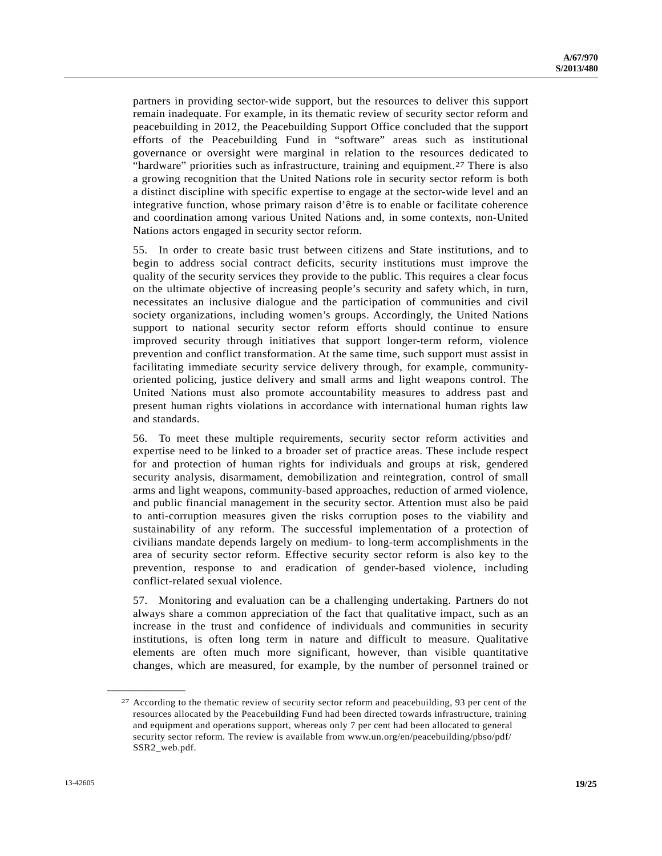partners in providing sector-wide support, but the resources to deliver this support remain inadequate. For example, in its thematic review of security sector reform and peacebuilding in 2012, the Peacebuilding Support Office concluded that the support efforts of the Peacebuilding Fund in "software" areas such as institutional governance or oversight were marginal in relation to the resources dedicated to "hardware" priorities such as infrastructure, training and equipment.<sup>[27](#page-18-0)</sup> There is also a growing recognition that the United Nations role in security sector reform is both a distinct discipline with specific expertise to engage at the sector-wide level and an integrative function, whose primary raison d'être is to enable or facilitate coherence and coordination among various United Nations and, in some contexts, non-United Nations actors engaged in security sector reform.

55. In order to create basic trust between citizens and State institutions, and to begin to address social contract deficits, security institutions must improve the quality of the security services they provide to the public. This requires a clear focus on the ultimate objective of increasing people's security and safety which, in turn, necessitates an inclusive dialogue and the participation of communities and civil society organizations, including women's groups. Accordingly, the United Nations support to national security sector reform efforts should continue to ensure improved security through initiatives that support longer-term reform, violence prevention and conflict transformation. At the same time, such support must assist in facilitating immediate security service delivery through, for example, communityoriented policing, justice delivery and small arms and light weapons control. The United Nations must also promote accountability measures to address past and present human rights violations in accordance with international human rights law and standards.

56. To meet these multiple requirements, security sector reform activities and expertise need to be linked to a broader set of practice areas. These include respect for and protection of human rights for individuals and groups at risk, gendered security analysis, disarmament, demobilization and reintegration, control of small arms and light weapons, community-based approaches, reduction of armed violence, and public financial management in the security sector. Attention must also be paid to anti-corruption measures given the risks corruption poses to the viability and sustainability of any reform. The successful implementation of a protection of civilians mandate depends largely on medium- to long-term accomplishments in the area of security sector reform. Effective security sector reform is also key to the prevention, response to and eradication of gender-based violence, including conflict-related sexual violence.

57. Monitoring and evaluation can be a challenging undertaking. Partners do not always share a common appreciation of the fact that qualitative impact, such as an increase in the trust and confidence of individuals and communities in security institutions, is often long term in nature and difficult to measure. Qualitative elements are often much more significant, however, than visible quantitative changes, which are measured, for example, by the number of personnel trained or

<span id="page-18-0"></span><sup>27</sup> According to the thematic review of security sector reform and peacebuilding, 93 per cent of the resources allocated by the Peacebuilding Fund had been directed towards infrastructure, training and equipment and operations support, whereas only 7 per cent had been allocated to general security sector reform. The review is available from www.un.org/en/peacebuilding/pbso/pdf/ SSR2\_web.pdf.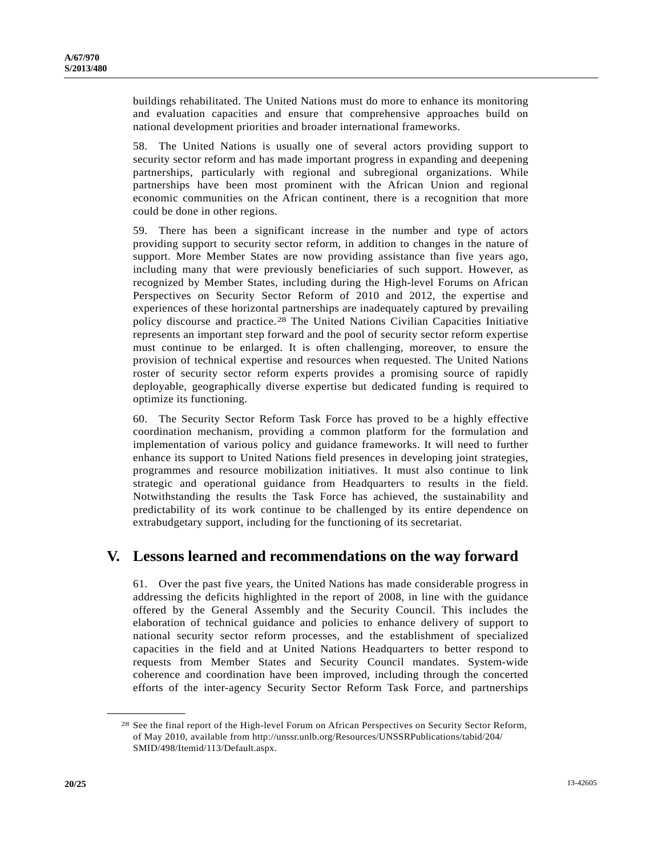buildings rehabilitated. The United Nations must do more to enhance its monitoring and evaluation capacities and ensure that comprehensive approaches build on national development priorities and broader international frameworks.

58. The United Nations is usually one of several actors providing support to security sector reform and has made important progress in expanding and deepening partnerships, particularly with regional and subregional organizations. While partnerships have been most prominent with the African Union and regional economic communities on the African continent, there is a recognition that more could be done in other regions.

59. There has been a significant increase in the number and type of actors providing support to security sector reform, in addition to changes in the nature of support. More Member States are now providing assistance than five years ago, including many that were previously beneficiaries of such support. However, as recognized by Member States, including during the High-level Forums on African Perspectives on Security Sector Reform of 2010 and 2012, the expertise and experiences of these horizontal partnerships are inadequately captured by prevailing policy discourse and practice.[28](#page-19-0) The United Nations Civilian Capacities Initiative represents an important step forward and the pool of security sector reform expertise must continue to be enlarged. It is often challenging, moreover, to ensure the provision of technical expertise and resources when requested. The United Nations roster of security sector reform experts provides a promising source of rapidly deployable, geographically diverse expertise but dedicated funding is required to optimize its functioning.

60. The Security Sector Reform Task Force has proved to be a highly effective coordination mechanism, providing a common platform for the formulation and implementation of various policy and guidance frameworks. It will need to further enhance its support to United Nations field presences in developing joint strategies, programmes and resource mobilization initiatives. It must also continue to link strategic and operational guidance from Headquarters to results in the field. Notwithstanding the results the Task Force has achieved, the sustainability and predictability of its work continue to be challenged by its entire dependence on extrabudgetary support, including for the functioning of its secretariat.

### **V. Lessons learned and recommendations on the way forward**

61. Over the past five years, the United Nations has made considerable progress in addressing the deficits highlighted in the report of 2008, in line with the guidance offered by the General Assembly and the Security Council. This includes the elaboration of technical guidance and policies to enhance delivery of support to national security sector reform processes, and the establishment of specialized capacities in the field and at United Nations Headquarters to better respond to requests from Member States and Security Council mandates. System-wide coherence and coordination have been improved, including through the concerted efforts of the inter-agency Security Sector Reform Task Force, and partnerships

<span id="page-19-0"></span><sup>28</sup> See the final report of the High-level Forum on African Perspectives on Security Sector Reform, of May 2010, available from http://unssr.unlb.org/Resources/UNSSRPublications/tabid/204/ SMID/498/Itemid/113/Default.aspx.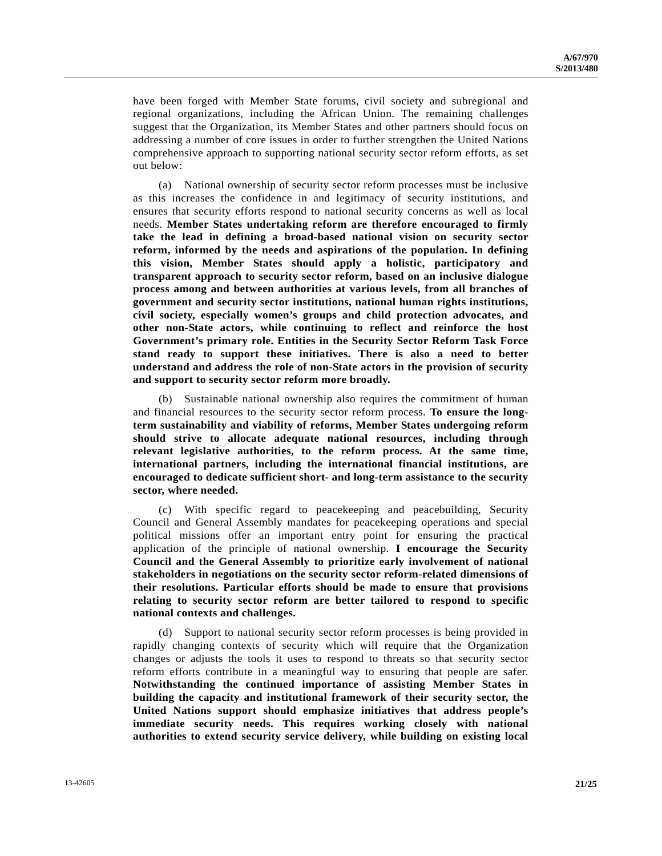have been forged with Member State forums, civil society and subregional and regional organizations, including the African Union. The remaining challenges suggest that the Organization, its Member States and other partners should focus on addressing a number of core issues in order to further strengthen the United Nations comprehensive approach to supporting national security sector reform efforts, as set out below:

 (a) National ownership of security sector reform processes must be inclusive as this increases the confidence in and legitimacy of security institutions, and ensures that security efforts respond to national security concerns as well as local needs. **Member States undertaking reform are therefore encouraged to firmly take the lead in defining a broad-based national vision on security sector reform, informed by the needs and aspirations of the population. In defining this vision, Member States should apply a holistic, participatory and transparent approach to security sector reform, based on an inclusive dialogue process among and between authorities at various levels, from all branches of government and security sector institutions, national human rights institutions, civil society, especially women's groups and child protection advocates, and other non-State actors, while continuing to reflect and reinforce the host Government's primary role. Entities in the Security Sector Reform Task Force stand ready to support these initiatives. There is also a need to better understand and address the role of non-State actors in the provision of security and support to security sector reform more broadly.**

 (b) Sustainable national ownership also requires the commitment of human and financial resources to the security sector reform process. **To ensure the longterm sustainability and viability of reforms, Member States undergoing reform should strive to allocate adequate national resources, including through relevant legislative authorities, to the reform process. At the same time, international partners, including the international financial institutions, are encouraged to dedicate sufficient short- and long-term assistance to the security sector, where needed.** 

 (c) With specific regard to peacekeeping and peacebuilding, Security Council and General Assembly mandates for peacekeeping operations and special political missions offer an important entry point for ensuring the practical application of the principle of national ownership. **I encourage the Security Council and the General Assembly to prioritize early involvement of national stakeholders in negotiations on the security sector reform-related dimensions of their resolutions. Particular efforts should be made to ensure that provisions relating to security sector reform are better tailored to respond to specific national contexts and challenges.**

 (d) Support to national security sector reform processes is being provided in rapidly changing contexts of security which will require that the Organization changes or adjusts the tools it uses to respond to threats so that security sector reform efforts contribute in a meaningful way to ensuring that people are safer. **Notwithstanding the continued importance of assisting Member States in building the capacity and institutional framework of their security sector, the United Nations support should emphasize initiatives that address people's immediate security needs. This requires working closely with national authorities to extend security service delivery, while building on existing local**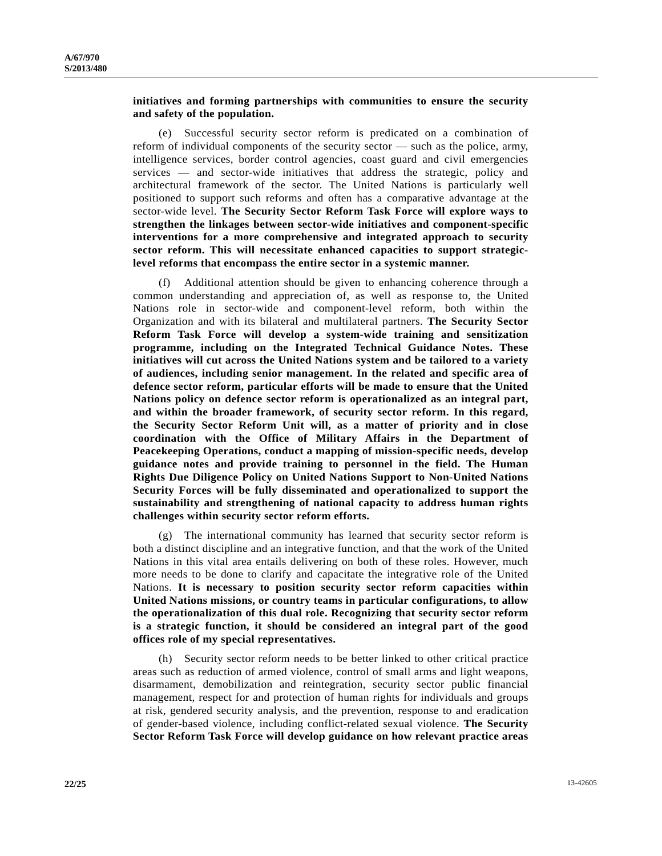#### **initiatives and forming partnerships with communities to ensure the security and safety of the population.**

 (e) Successful security sector reform is predicated on a combination of reform of individual components of the security sector — such as the police, army, intelligence services, border control agencies, coast guard and civil emergencies services — and sector-wide initiatives that address the strategic, policy and architectural framework of the sector. The United Nations is particularly well positioned to support such reforms and often has a comparative advantage at the sector-wide level. **The Security Sector Reform Task Force will explore ways to strengthen the linkages between sector-wide initiatives and component-specific interventions for a more comprehensive and integrated approach to security sector reform. This will necessitate enhanced capacities to support strategiclevel reforms that encompass the entire sector in a systemic manner.**

 (f) Additional attention should be given to enhancing coherence through a common understanding and appreciation of, as well as response to, the United Nations role in sector-wide and component-level reform, both within the Organization and with its bilateral and multilateral partners. **The Security Sector Reform Task Force will develop a system-wide training and sensitization programme, including on the Integrated Technical Guidance Notes. These initiatives will cut across the United Nations system and be tailored to a variety of audiences, including senior management. In the related and specific area of defence sector reform, particular efforts will be made to ensure that the United Nations policy on defence sector reform is operationalized as an integral part, and within the broader framework, of security sector reform. In this regard, the Security Sector Reform Unit will, as a matter of priority and in close coordination with the Office of Military Affairs in the Department of Peacekeeping Operations, conduct a mapping of mission-specific needs, develop guidance notes and provide training to personnel in the field. The Human Rights Due Diligence Policy on United Nations Support to Non-United Nations Security Forces will be fully disseminated and operationalized to support the sustainability and strengthening of national capacity to address human rights challenges within security sector reform efforts.** 

 (g) The international community has learned that security sector reform is both a distinct discipline and an integrative function, and that the work of the United Nations in this vital area entails delivering on both of these roles. However, much more needs to be done to clarify and capacitate the integrative role of the United Nations. **It is necessary to position security sector reform capacities within United Nations missions, or country teams in particular configurations, to allow the operationalization of this dual role. Recognizing that security sector reform is a strategic function, it should be considered an integral part of the good offices role of my special representatives.**

 (h) Security sector reform needs to be better linked to other critical practice areas such as reduction of armed violence, control of small arms and light weapons, disarmament, demobilization and reintegration, security sector public financial management, respect for and protection of human rights for individuals and groups at risk, gendered security analysis, and the prevention, response to and eradication of gender-based violence, including conflict-related sexual violence. **The Security Sector Reform Task Force will develop guidance on how relevant practice areas**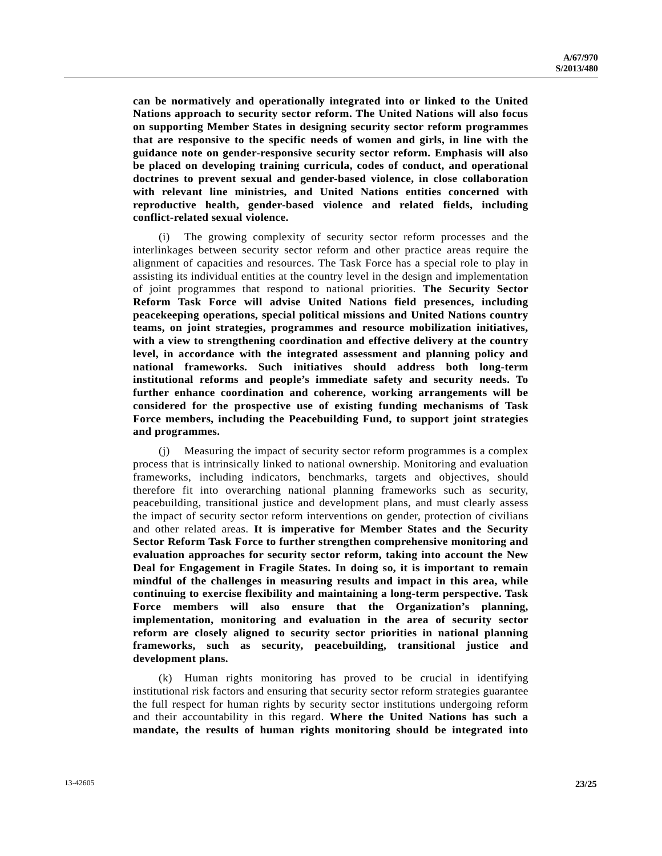**can be normatively and operationally integrated into or linked to the United Nations approach to security sector reform. The United Nations will also focus on supporting Member States in designing security sector reform programmes that are responsive to the specific needs of women and girls, in line with the guidance note on gender-responsive security sector reform. Emphasis will also be placed on developing training curricula, codes of conduct, and operational doctrines to prevent sexual and gender-based violence, in close collaboration with relevant line ministries, and United Nations entities concerned with reproductive health, gender-based violence and related fields, including conflict-related sexual violence.**

 (i) The growing complexity of security sector reform processes and the interlinkages between security sector reform and other practice areas require the alignment of capacities and resources. The Task Force has a special role to play in assisting its individual entities at the country level in the design and implementation of joint programmes that respond to national priorities. **The Security Sector Reform Task Force will advise United Nations field presences, including peacekeeping operations, special political missions and United Nations country teams, on joint strategies, programmes and resource mobilization initiatives, with a view to strengthening coordination and effective delivery at the country level, in accordance with the integrated assessment and planning policy and national frameworks. Such initiatives should address both long-term institutional reforms and people's immediate safety and security needs. To further enhance coordination and coherence, working arrangements will be considered for the prospective use of existing funding mechanisms of Task Force members, including the Peacebuilding Fund, to support joint strategies and programmes.** 

 (j) Measuring the impact of security sector reform programmes is a complex process that is intrinsically linked to national ownership. Monitoring and evaluation frameworks, including indicators, benchmarks, targets and objectives, should therefore fit into overarching national planning frameworks such as security, peacebuilding, transitional justice and development plans, and must clearly assess the impact of security sector reform interventions on gender, protection of civilians and other related areas. **It is imperative for Member States and the Security Sector Reform Task Force to further strengthen comprehensive monitoring and evaluation approaches for security sector reform, taking into account the New Deal for Engagement in Fragile States. In doing so, it is important to remain mindful of the challenges in measuring results and impact in this area, while continuing to exercise flexibility and maintaining a long-term perspective. Task Force members will also ensure that the Organization's planning, implementation, monitoring and evaluation in the area of security sector reform are closely aligned to security sector priorities in national planning frameworks, such as security, peacebuilding, transitional justice and development plans.**

 (k) Human rights monitoring has proved to be crucial in identifying institutional risk factors and ensuring that security sector reform strategies guarantee the full respect for human rights by security sector institutions undergoing reform and their accountability in this regard. **Where the United Nations has such a mandate, the results of human rights monitoring should be integrated into**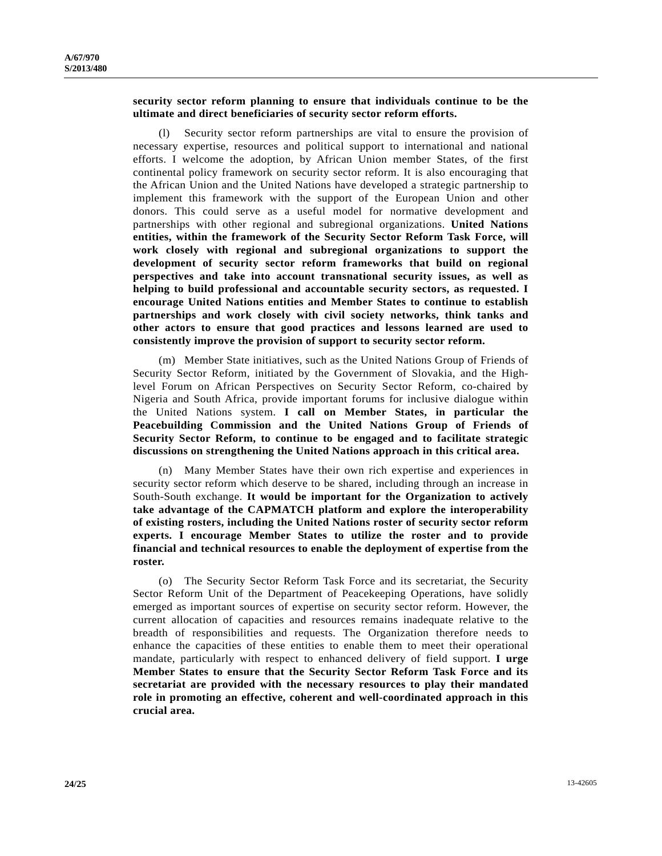#### **security sector reform planning to ensure that individuals continue to be the ultimate and direct beneficiaries of security sector reform efforts.**

Security sector reform partnerships are vital to ensure the provision of necessary expertise, resources and political support to international and national efforts. I welcome the adoption, by African Union member States, of the first continental policy framework on security sector reform. It is also encouraging that the African Union and the United Nations have developed a strategic partnership to implement this framework with the support of the European Union and other donors. This could serve as a useful model for normative development and partnerships with other regional and subregional organizations. **United Nations entities, within the framework of the Security Sector Reform Task Force, will work closely with regional and subregional organizations to support the development of security sector reform frameworks that build on regional perspectives and take into account transnational security issues, as well as helping to build professional and accountable security sectors, as requested. I encourage United Nations entities and Member States to continue to establish partnerships and work closely with civil society networks, think tanks and other actors to ensure that good practices and lessons learned are used to consistently improve the provision of support to security sector reform.** 

 (m) Member State initiatives, such as the United Nations Group of Friends of Security Sector Reform, initiated by the Government of Slovakia, and the Highlevel Forum on African Perspectives on Security Sector Reform, co-chaired by Nigeria and South Africa, provide important forums for inclusive dialogue within the United Nations system. **I call on Member States, in particular the Peacebuilding Commission and the United Nations Group of Friends of Security Sector Reform, to continue to be engaged and to facilitate strategic discussions on strengthening the United Nations approach in this critical area.**

 (n) Many Member States have their own rich expertise and experiences in security sector reform which deserve to be shared, including through an increase in South-South exchange. **It would be important for the Organization to actively take advantage of the CAPMATCH platform and explore the interoperability of existing rosters, including the United Nations roster of security sector reform experts. I encourage Member States to utilize the roster and to provide financial and technical resources to enable the deployment of expertise from the roster.** 

 (o) The Security Sector Reform Task Force and its secretariat, the Security Sector Reform Unit of the Department of Peacekeeping Operations, have solidly emerged as important sources of expertise on security sector reform. However, the current allocation of capacities and resources remains inadequate relative to the breadth of responsibilities and requests. The Organization therefore needs to enhance the capacities of these entities to enable them to meet their operational mandate, particularly with respect to enhanced delivery of field support. **I urge Member States to ensure that the Security Sector Reform Task Force and its secretariat are provided with the necessary resources to play their mandated role in promoting an effective, coherent and well-coordinated approach in this crucial area.**